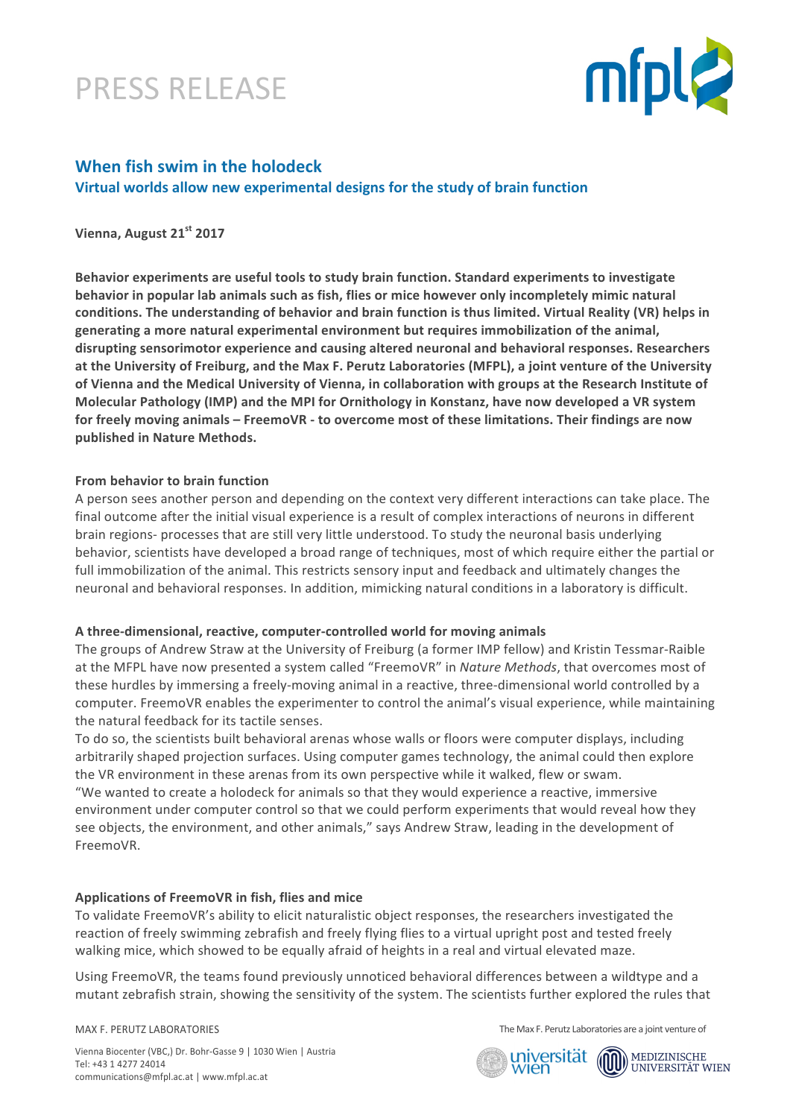## PRESS RELEASE



### **When fish swim in the holodeck Virtual worlds allow new experimental designs for the study of brain function**

### **Vienna, August 21st 2017**

Behavior experiments are useful tools to study brain function. Standard experiments to investigate **behavior in popular lab animals such as fish, flies or mice however only incompletely mimic natural** conditions. The understanding of behavior and brain function is thus limited. Virtual Reality (VR) helps in generating a more natural experimental environment but requires immobilization of the animal, disrupting sensorimotor experience and causing altered neuronal and behavioral responses. Researchers at the University of Freiburg, and the Max F. Perutz Laboratories (MFPL), a joint venture of the University of Vienna and the Medical University of Vienna, in collaboration with groups at the Research Institute of **Molecular Pathology (IMP) and the MPI for Ornithology in Konstanz, have now developed a VR system** for freely moving animals – FreemoVR - to overcome most of these limitations. Their findings are now **published in Nature Methods.** 

### **From behavior to brain function**

A person sees another person and depending on the context very different interactions can take place. The final outcome after the initial visual experience is a result of complex interactions of neurons in different brain regions- processes that are still very little understood. To study the neuronal basis underlying behavior, scientists have developed a broad range of techniques, most of which require either the partial or full immobilization of the animal. This restricts sensory input and feedback and ultimately changes the neuronal and behavioral responses. In addition, mimicking natural conditions in a laboratory is difficult.

### A three-dimensional, reactive, computer-controlled world for moving animals

The groups of Andrew Straw at the University of Freiburg (a former IMP fellow) and Kristin Tessmar-Raible at the MFPL have now presented a system called "FreemoVR" in *Nature Methods*, that overcomes most of these hurdles by immersing a freely-moving animal in a reactive, three-dimensional world controlled by a computer. FreemoVR enables the experimenter to control the animal's visual experience, while maintaining the natural feedback for its tactile senses.

To do so, the scientists built behavioral arenas whose walls or floors were computer displays, including arbitrarily shaped projection surfaces. Using computer games technology, the animal could then explore the VR environment in these arenas from its own perspective while it walked, flew or swam. "We wanted to create a holodeck for animals so that they would experience a reactive, immersive environment under computer control so that we could perform experiments that would reveal how they see objects, the environment, and other animals," says Andrew Straw, leading in the development of FreemoVR. 

### Applications of FreemoVR in fish, flies and mice

To validate FreemoVR's ability to elicit naturalistic object responses, the researchers investigated the reaction of freely swimming zebrafish and freely flying flies to a virtual upright post and tested freely walking mice, which showed to be equally afraid of heights in a real and virtual elevated maze.

Using FreemoVR, the teams found previously unnoticed behavioral differences between a wildtype and a mutant zebrafish strain, showing the sensitivity of the system. The scientists further explored the rules that

MAX F. PERUTZ LABORATORIES

The Max F. Perutz Laboratories are a joint venture of

Vienna Biocenter (VBC,) Dr. Bohr-Gasse 9 | 1030 Wien | Austria Tel: +43 1 4277 24014 communications@mfpl.ac.at | www.mfpl.ac.at